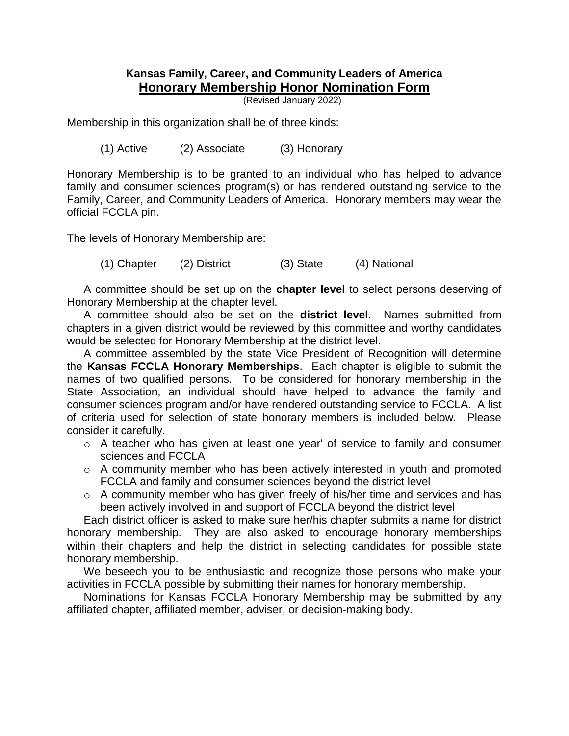## **Kansas Family, Career, and Community Leaders of America Honorary Membership Honor Nomination Form**

(Revised January 2022)

Membership in this organization shall be of three kinds:

(1) Active (2) Associate (3) Honorary

Honorary Membership is to be granted to an individual who has helped to advance family and consumer sciences program(s) or has rendered outstanding service to the Family, Career, and Community Leaders of America. Honorary members may wear the official FCCLA pin.

The levels of Honorary Membership are:

(1) Chapter (2) District (3) State (4) National

A committee should be set up on the **chapter level** to select persons deserving of Honorary Membership at the chapter level.

A committee should also be set on the **district level**. Names submitted from chapters in a given district would be reviewed by this committee and worthy candidates would be selected for Honorary Membership at the district level.

A committee assembled by the state Vice President of Recognition will determine the **Kansas FCCLA Honorary Memberships**. Each chapter is eligible to submit the names of two qualified persons. To be considered for honorary membership in the State Association, an individual should have helped to advance the family and consumer sciences program and/or have rendered outstanding service to FCCLA. A list of criteria used for selection of state honorary members is included below. Please consider it carefully.

- o A teacher who has given at least one year' of service to family and consumer sciences and FCCLA
- o A community member who has been actively interested in youth and promoted FCCLA and family and consumer sciences beyond the district level
- o A community member who has given freely of his/her time and services and has been actively involved in and support of FCCLA beyond the district level

Each district officer is asked to make sure her/his chapter submits a name for district honorary membership. They are also asked to encourage honorary memberships within their chapters and help the district in selecting candidates for possible state honorary membership.

We beseech you to be enthusiastic and recognize those persons who make your activities in FCCLA possible by submitting their names for honorary membership.

Nominations for Kansas FCCLA Honorary Membership may be submitted by any affiliated chapter, affiliated member, adviser, or decision-making body.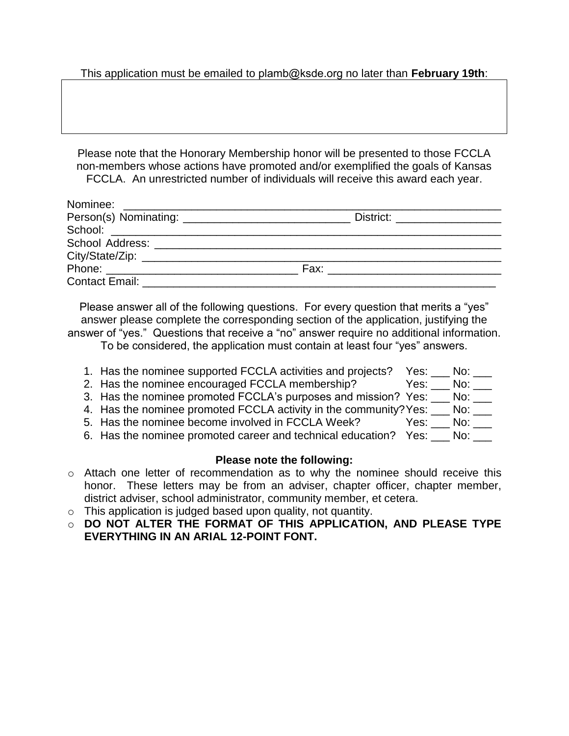This application must be emailed to plamb@ksde.org no later than **February 19th**:

Please note that the Honorary Membership honor will be presented to those FCCLA non-members whose actions have promoted and/or exemplified the goals of Kansas FCCLA. An unrestricted number of individuals will receive this award each year.

|                                    | District: ___________________ |
|------------------------------------|-------------------------------|
|                                    |                               |
|                                    |                               |
|                                    |                               |
|                                    |                               |
| Contact Email: <b>Example 2014</b> |                               |

Please answer all of the following questions. For every question that merits a "yes" answer please complete the corresponding section of the application, justifying the answer of "yes." Questions that receive a "no" answer require no additional information.

To be considered, the application must contain at least four "yes" answers.

- 1. Has the nominee supported FCCLA activities and projects? Yes: \_\_\_ No: \_\_\_ 2. Has the nominee encouraged FCCLA membership? Yes: \_\_\_ No: \_\_\_ 3. Has the nominee promoted FCCLA's purposes and mission? Yes: \_\_\_ No: \_\_\_ 4. Has the nominee promoted FCCLA activity in the community? Yes: \_\_\_ No: \_\_\_
- 5. Has the nominee become involved in FCCLA Week? Yes: No:  $\frac{1}{\sqrt{2}}$  No:  $\frac{1}{\sqrt{2}}$
- 6. Has the nominee promoted career and technical education? Yes: No:

## **Please note the following:**

- o Attach one letter of recommendation as to why the nominee should receive this honor. These letters may be from an adviser, chapter officer, chapter member, district adviser, school administrator, community member, et cetera.
- $\circ$  This application is judged based upon quality, not quantity.
- o **DO NOT ALTER THE FORMAT OF THIS APPLICATION, AND PLEASE TYPE EVERYTHING IN AN ARIAL 12-POINT FONT.**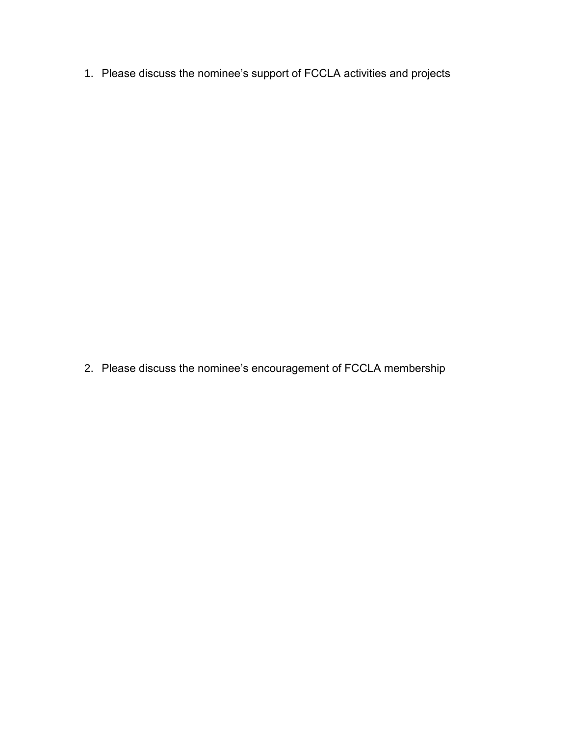1. Please discuss the nominee's support of FCCLA activities and projects

2. Please discuss the nominee's encouragement of FCCLA membership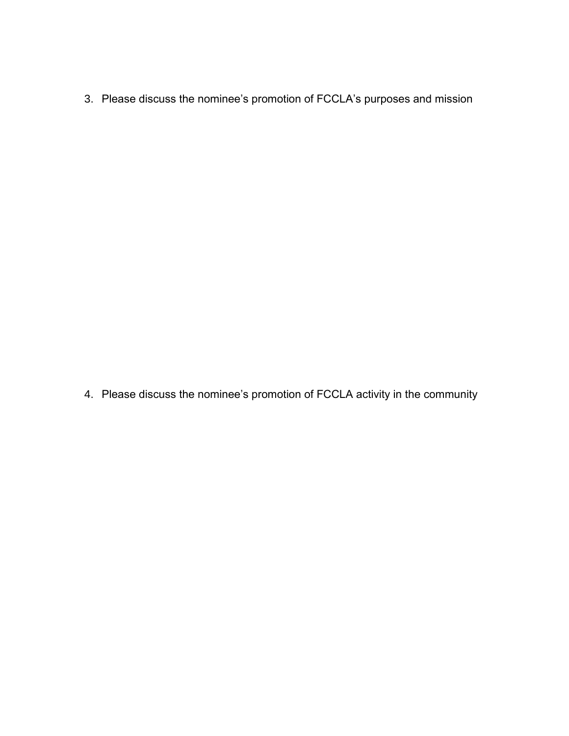3. Please discuss the nominee's promotion of FCCLA's purposes and mission

4. Please discuss the nominee's promotion of FCCLA activity in the community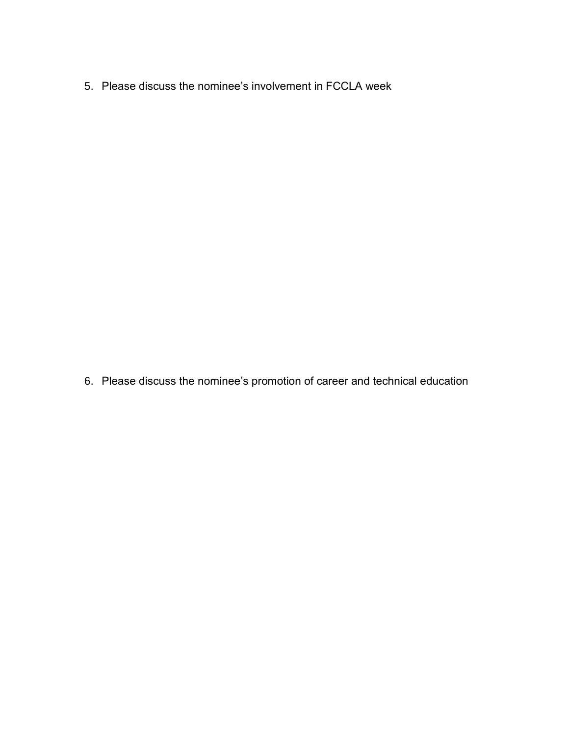5. Please discuss the nominee's involvement in FCCLA week

6. Please discuss the nominee's promotion of career and technical education